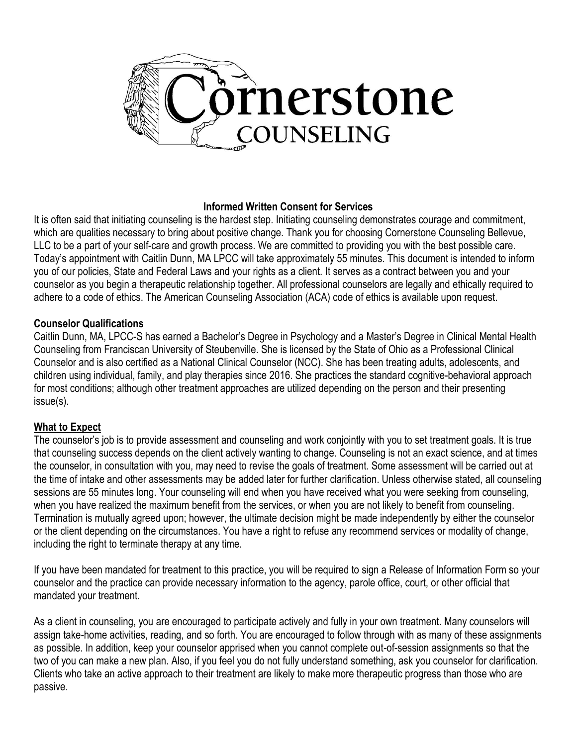

#### **Informed Written Consent for Services**

It is often said that initiating counseling is the hardest step. Initiating counseling demonstrates courage and commitment, which are qualities necessary to bring about positive change. Thank you for choosing Cornerstone Counseling Bellevue, LLC to be a part of your self-care and growth process. We are committed to providing you with the best possible care. Today's appointment with Caitlin Dunn, MA LPCC will take approximately 55 minutes. This document is intended to inform you of our policies, State and Federal Laws and your rights as a client. It serves as a contract between you and your counselor as you begin a therapeutic relationship together. All professional counselors are legally and ethically required to adhere to a code of ethics. The American Counseling Association (ACA) code of ethics is available upon request.

## **Counselor Qualifications**

Caitlin Dunn, MA, LPCC-S has earned a Bachelor's Degree in Psychology and a Master's Degree in Clinical Mental Health Counseling from Franciscan University of Steubenville. She is licensed by the State of Ohio as a Professional Clinical Counselor and is also certified as a National Clinical Counselor (NCC). She has been treating adults, adolescents, and children using individual, family, and play therapies since 2016. She practices the standard cognitive-behavioral approach for most conditions; although other treatment approaches are utilized depending on the person and their presenting issue(s).

### **What to Expect**

The counselor's job is to provide assessment and counseling and work conjointly with you to set treatment goals. It is true that counseling success depends on the client actively wanting to change. Counseling is not an exact science, and at times the counselor, in consultation with you, may need to revise the goals of treatment. Some assessment will be carried out at the time of intake and other assessments may be added later for further clarification. Unless otherwise stated, all counseling sessions are 55 minutes long. Your counseling will end when you have received what you were seeking from counseling, when you have realized the maximum benefit from the services, or when you are not likely to benefit from counseling. Termination is mutually agreed upon; however, the ultimate decision might be made independently by either the counselor or the client depending on the circumstances. You have a right to refuse any recommend services or modality of change, including the right to terminate therapy at any time.

If you have been mandated for treatment to this practice, you will be required to sign a Release of Information Form so your counselor and the practice can provide necessary information to the agency, parole office, court, or other official that mandated your treatment.

As a client in counseling, you are encouraged to participate actively and fully in your own treatment. Many counselors will assign take-home activities, reading, and so forth. You are encouraged to follow through with as many of these assignments as possible. In addition, keep your counselor apprised when you cannot complete out-of-session assignments so that the two of you can make a new plan. Also, if you feel you do not fully understand something, ask you counselor for clarification. Clients who take an active approach to their treatment are likely to make more therapeutic progress than those who are passive.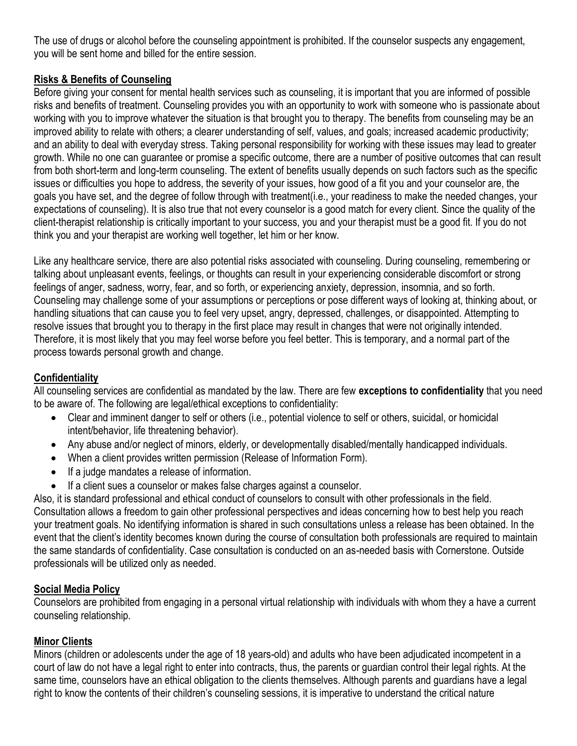The use of drugs or alcohol before the counseling appointment is prohibited. If the counselor suspects any engagement, you will be sent home and billed for the entire session.

# **Risks & Benefits of Counseling**

Before giving your consent for mental health services such as counseling, it is important that you are informed of possible risks and benefits of treatment. Counseling provides you with an opportunity to work with someone who is passionate about working with you to improve whatever the situation is that brought you to therapy. The benefits from counseling may be an improved ability to relate with others; a clearer understanding of self, values, and goals; increased academic productivity; and an ability to deal with everyday stress. Taking personal responsibility for working with these issues may lead to greater growth. While no one can guarantee or promise a specific outcome, there are a number of positive outcomes that can result from both short-term and long-term counseling. The extent of benefits usually depends on such factors such as the specific issues or difficulties you hope to address, the severity of your issues, how good of a fit you and your counselor are, the goals you have set, and the degree of follow through with treatment(i.e., your readiness to make the needed changes, your expectations of counseling). It is also true that not every counselor is a good match for every client. Since the quality of the client-therapist relationship is critically important to your success, you and your therapist must be a good fit. If you do not think you and your therapist are working well together, let him or her know.

Like any healthcare service, there are also potential risks associated with counseling. During counseling, remembering or talking about unpleasant events, feelings, or thoughts can result in your experiencing considerable discomfort or strong feelings of anger, sadness, worry, fear, and so forth, or experiencing anxiety, depression, insomnia, and so forth. Counseling may challenge some of your assumptions or perceptions or pose different ways of looking at, thinking about, or handling situations that can cause you to feel very upset, angry, depressed, challenges, or disappointed. Attempting to resolve issues that brought you to therapy in the first place may result in changes that were not originally intended. Therefore, it is most likely that you may feel worse before you feel better. This is temporary, and a normal part of the process towards personal growth and change.

# **Confidentiality**

All counseling services are confidential as mandated by the law. There are few **exceptions to confidentiality** that you need to be aware of. The following are legal/ethical exceptions to confidentiality:

- Clear and imminent danger to self or others (i.e., potential violence to self or others, suicidal, or homicidal intent/behavior, life threatening behavior).
- Any abuse and/or neglect of minors, elderly, or developmentally disabled/mentally handicapped individuals.
- When a client provides written permission (Release of Information Form).
- If a judge mandates a release of information.
- If a client sues a counselor or makes false charges against a counselor.

Also, it is standard professional and ethical conduct of counselors to consult with other professionals in the field. Consultation allows a freedom to gain other professional perspectives and ideas concerning how to best help you reach your treatment goals. No identifying information is shared in such consultations unless a release has been obtained. In the event that the client's identity becomes known during the course of consultation both professionals are required to maintain the same standards of confidentiality. Case consultation is conducted on an as-needed basis with Cornerstone. Outside professionals will be utilized only as needed.

# **Social Media Policy**

Counselors are prohibited from engaging in a personal virtual relationship with individuals with whom they a have a current counseling relationship.

# **Minor Clients**

Minors (children or adolescents under the age of 18 years-old) and adults who have been adjudicated incompetent in a court of law do not have a legal right to enter into contracts, thus, the parents or guardian control their legal rights. At the same time, counselors have an ethical obligation to the clients themselves. Although parents and guardians have a legal right to know the contents of their children's counseling sessions, it is imperative to understand the critical nature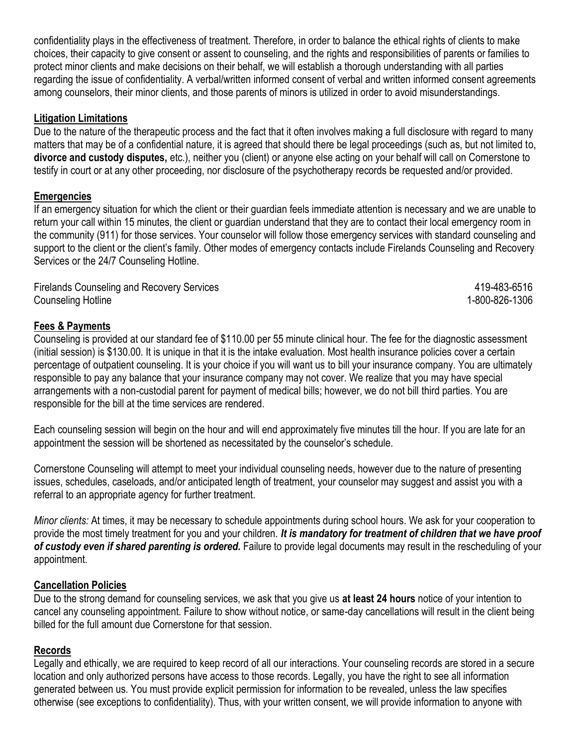confidentiality plays in the effectiveness of treatment. Therefore, in order to balance the ethical rights of clients to make choices, their capacity to give consent or assent to counseling, and the rights and responsibilities of parents or families to protect minor clients and make decisions on their behalf, we will establish a thorough understanding with all parties regarding the issue of confidentiality. A verbal/written informed consent of verbal and written informed consent agreements among counselors, their minor clients, and those parents of minors is utilized in order to avoid misunderstandings.

### **Litigation Limitations**

Due to the nature of the therapeutic process and the fact that it often involves making a full disclosure with regard to many matters that may be of a confidential nature, it is agreed that should there be legal proceedings (such as, but not limited to, **divorce and custody disputes,** etc.), neither you (client) or anyone else acting on your behalf will call on Cornerstone to testify in court or at any other proceeding, nor disclosure of the psychotherapy records be requested and/or provided.

## **Emergencies**

If an emergency situation for which the client or their guardian feels immediate attention is necessary and we are unable to return your call within 15 minutes, the client or guardian understand that they are to contact their local emergency room in the community (911) for those services. Your counselor will follow those emergency services with standard counseling and support to the client or the client's family. Other modes of emergency contacts include Firelands Counseling and Recovery Services or the 24/7 Counseling Hotline.

Firelands Counseling and Recovery Services **All Accords** 419-483-6516 Counseling Hotline 1-800-826-1306

## **Fees & Payments**

Counseling is provided at our standard fee of \$110.00 per 55 minute clinical hour. The fee for the diagnostic assessment (initial session) is \$130.00. It is unique in that it is the intake evaluation. Most health insurance policies cover a certain percentage of outpatient counseling. It is your choice if you will want us to bill your insurance company. You are ultimately responsible to pay any balance that your insurance company may not cover. We realize that you may have special arrangements with a non-custodial parent for payment of medical bills; however, we do not bill third parties. You are responsible for the bill at the time services are rendered.

Each counseling session will begin on the hour and will end approximately five minutes till the hour. If you are late for an appointment the session will be shortened as necessitated by the counselor's schedule.

Cornerstone Counseling will attempt to meet your individual counseling needs, however due to the nature of presenting issues, schedules, caseloads, and/or anticipated length of treatment, your counselor may suggest and assist you with a referral to an appropriate agency for further treatment.

*Minor clients:* At times, it may be necessary to schedule appointments during school hours. We ask for your cooperation to provide the most timely treatment for you and your children. *It is mandatory for treatment of children that we have proof of custody even if shared parenting is ordered.* Failure to provide legal documents may result in the rescheduling of your appointment.

### **Cancellation Policies**

Due to the strong demand for counseling services, we ask that you give us **at least 24 hours** notice of your intention to cancel any counseling appointment. Failure to show without notice, or same-day cancellations will result in the client being billed for the full amount due Cornerstone for that session.

### **Records**

Legally and ethically, we are required to keep record of all our interactions. Your counseling records are stored in a secure location and only authorized persons have access to those records. Legally, you have the right to see all information generated between us. You must provide explicit permission for information to be revealed, unless the law specifies otherwise (see exceptions to confidentiality). Thus, with your written consent, we will provide information to anyone with